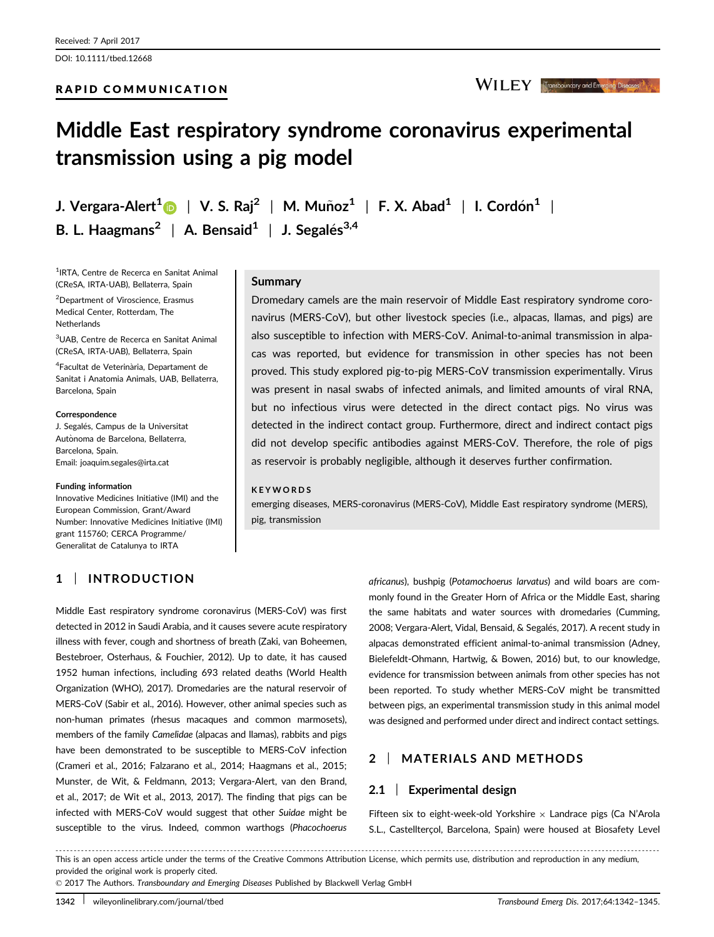DOI: 10.1111/tbed.12668

WILEY Transboundary and Emerging Diseases

# Middle East respiratory syndrome coronavirus experimental transmission using a pig model

J. Vergara-Alert $^1$  $^1$   $\quad \parallel$  V. S. Raj $^2$   $\parallel$  M. Muñoz $^1$   $\parallel$  F. X. Abad $^1$   $\parallel$  I. Cordón $^1$   $\parallel$ B. L. Haagmans<sup>2</sup> | A. Bensaid<sup>1</sup> | J. Segalés<sup>3,4</sup>

1 IRTA, Centre de Recerca en Sanitat Animal (CReSA, IRTA-UAB), Bellaterra, Spain

<sup>2</sup>Department of Viroscience, Erasmus Medical Center, Rotterdam, The Netherlands

3 UAB, Centre de Recerca en Sanitat Animal (CReSA, IRTA-UAB), Bellaterra, Spain

<sup>4</sup>Facultat de Veterinària, Departament de Sanitat i Anatomia Animals, UAB, Bellaterra, Barcelona, Spain

#### Correspondence

J. Segalés, Campus de la Universitat Autònoma de Barcelona, Bellaterra, Barcelona, Spain. Email: joaquim.segales@irta.cat

#### Funding information

Innovative Medicines Initiative (IMI) and the European Commission, Grant/Award Number: Innovative Medicines Initiative (IMI) grant 115760; CERCA Programme/ Generalitat de Catalunya to IRTA

## 1 | INTRODUCTION

## Summary

Dromedary camels are the main reservoir of Middle East respiratory syndrome coronavirus (MERS-CoV), but other livestock species (i.e., alpacas, llamas, and pigs) are also susceptible to infection with MERS-CoV. Animal-to-animal transmission in alpacas was reported, but evidence for transmission in other species has not been proved. This study explored pig-to-pig MERS-CoV transmission experimentally. Virus was present in nasal swabs of infected animals, and limited amounts of viral RNA, but no infectious virus were detected in the direct contact pigs. No virus was detected in the indirect contact group. Furthermore, direct and indirect contact pigs did not develop specific antibodies against MERS-CoV. Therefore, the role of pigs as reservoir is probably negligible, although it deserves further confirmation.

## **KEYWORDS**

emerging diseases, MERS-coronavirus (MERS-CoV), Middle East respiratory syndrome (MERS), pig, transmission

Middle East respiratory syndrome coronavirus (MERS-CoV) was first detected in 2012 in Saudi Arabia, and it causes severe acute respiratory illness with fever, cough and shortness of breath (Zaki, van Boheemen, Bestebroer, Osterhaus, & Fouchier, 2012). Up to date, it has caused 1952 human infections, including 693 related deaths (World Health Organization (WHO), 2017). Dromedaries are the natural reservoir of MERS-CoV (Sabir et al., 2016). However, other animal species such as non-human primates (rhesus macaques and common marmosets), members of the family Camelidae (alpacas and llamas), rabbits and pigs have been demonstrated to be susceptible to MERS-CoV infection (Crameri et al., 2016; Falzarano et al., 2014; Haagmans et al., 2015; Munster, de Wit, & Feldmann, 2013; Vergara-Alert, van den Brand, et al., 2017; de Wit et al., 2013, 2017). The finding that pigs can be infected with MERS-CoV would suggest that other Suidae might be susceptible to the virus. Indeed, common warthogs (Phacochoerus africanus), bushpig (Potamochoerus larvatus) and wild boars are commonly found in the Greater Horn of Africa or the Middle East, sharing the same habitats and water sources with dromedaries (Cumming, 2008; Vergara-Alert, Vidal, Bensaid, & Segalés, 2017). A recent study in alpacas demonstrated efficient animal-to-animal transmission (Adney, Bielefeldt-Ohmann, Hartwig, & Bowen, 2016) but, to our knowledge, evidence for transmission between animals from other species has not been reported. To study whether MERS-CoV might be transmitted between pigs, an experimental transmission study in this animal model was designed and performed under direct and indirect contact settings.

# 2 | MATERIALS AND METHODS

## 2.1 | Experimental design

Fifteen six to eight-week-old Yorkshire  $\times$  Landrace pigs (Ca N'Arola S.L., Castellterçol, Barcelona, Spain) were housed at Biosafety Level

------------------------------------------------------------------------------------------------------------------------------- --------------------------------------- This is an open access article under the terms of the [Creative Commons Attribution](http://creativecommons.org/licenses/by/4.0/) License, which permits use, distribution and reproduction in any medium, provided the original work is properly cited.

© 2017 The Authors. Transboundary and Emerging Diseases Published by Blackwell Verlag GmbH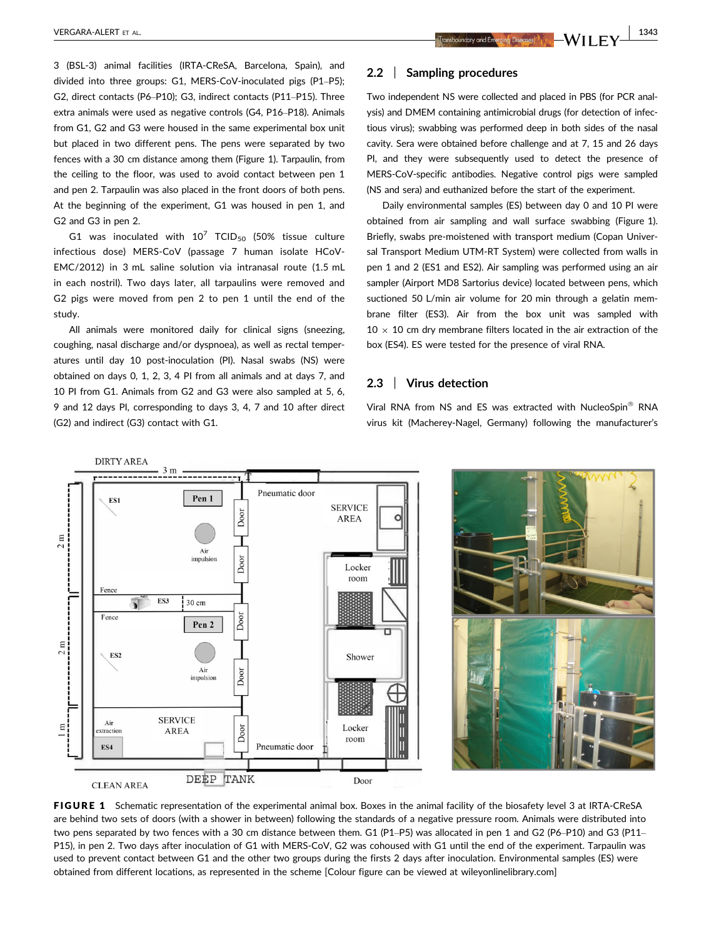3 (BSL-3) animal facilities (IRTA-CReSA, Barcelona, Spain), and divided into three groups: G1, MERS-CoV-inoculated pigs (P1–P5); G2, direct contacts (P6–P10); G3, indirect contacts (P11–P15). Three extra animals were used as negative controls (G4, P16–P18). Animals from G1, G2 and G3 were housed in the same experimental box unit but placed in two different pens. The pens were separated by two fences with a 30 cm distance among them (Figure 1). Tarpaulin, from the ceiling to the floor, was used to avoid contact between pen 1 and pen 2. Tarpaulin was also placed in the front doors of both pens. At the beginning of the experiment, G1 was housed in pen 1, and G2 and G3 in pen 2.

G1 was inoculated with  $10^7$  TCID<sub>50</sub> (50% tissue culture infectious dose) MERS-CoV (passage 7 human isolate HCoV-EMC/2012) in 3 mL saline solution via intranasal route (1.5 mL in each nostril). Two days later, all tarpaulins were removed and G2 pigs were moved from pen 2 to pen 1 until the end of the study.

All animals were monitored daily for clinical signs (sneezing, coughing, nasal discharge and/or dyspnoea), as well as rectal temperatures until day 10 post-inoculation (PI). Nasal swabs (NS) were obtained on days 0, 1, 2, 3, 4 PI from all animals and at days 7, and 10 PI from G1. Animals from G2 and G3 were also sampled at 5, 6, 9 and 12 days PI, corresponding to days 3, 4, 7 and 10 after direct (G2) and indirect (G3) contact with G1.

## 2.2 | Sampling procedures

Two independent NS were collected and placed in PBS (for PCR analysis) and DMEM containing antimicrobial drugs (for detection of infectious virus); swabbing was performed deep in both sides of the nasal cavity. Sera were obtained before challenge and at 7, 15 and 26 days PI, and they were subsequently used to detect the presence of MERS-CoV-specific antibodies. Negative control pigs were sampled (NS and sera) and euthanized before the start of the experiment.

Daily environmental samples (ES) between day 0 and 10 PI were obtained from air sampling and wall surface swabbing (Figure 1). Briefly, swabs pre-moistened with transport medium (Copan Universal Transport Medium UTM-RT System) were collected from walls in pen 1 and 2 (ES1 and ES2). Air sampling was performed using an air sampler (Airport MD8 Sartorius device) located between pens, which suctioned 50 L/min air volume for 20 min through a gelatin membrane filter (ES3). Air from the box unit was sampled with  $10 \times 10$  cm dry membrane filters located in the air extraction of the box (ES4). ES were tested for the presence of viral RNA.

## 2.3 | Virus detection

Viral RNA from NS and ES was extracted with NucleoSpin<sup>®</sup> RNA virus kit (Macherey-Nagel, Germany) following the manufacturer's



FIGURE 1 Schematic representation of the experimental animal box. Boxes in the animal facility of the biosafety level 3 at IRTA-CReSA are behind two sets of doors (with a shower in between) following the standards of a negative pressure room. Animals were distributed into two pens separated by two fences with a 30 cm distance between them. G1 (P1–P5) was allocated in pen 1 and G2 (P6–P10) and G3 (P11– P15), in pen 2. Two days after inoculation of G1 with MERS-CoV, G2 was cohoused with G1 until the end of the experiment. Tarpaulin was used to prevent contact between G1 and the other two groups during the firsts 2 days after inoculation. Environmental samples (ES) were obtained from different locations, as represented in the scheme [Colour figure can be viewed at wileyonlinelibrary.com]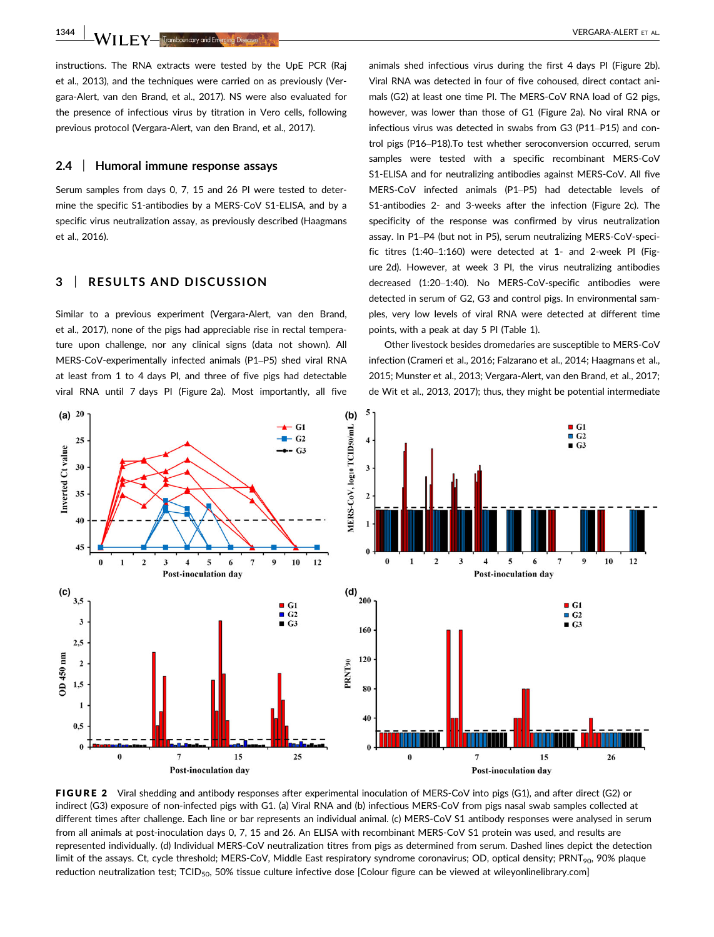1344 | **IA/II EX** Franks **Arizon de Broad Alexander Contract Contract Contract Contract Contract Contract Contract Contract Contract Contract Contract Contract Contract Contract Contract Contract Contract Contract Contract** 

instructions. The RNA extracts were tested by the UpE PCR (Raj et al., 2013), and the techniques were carried on as previously (Vergara-Alert, van den Brand, et al., 2017). NS were also evaluated for the presence of infectious virus by titration in Vero cells, following previous protocol (Vergara-Alert, van den Brand, et al., 2017).

## 2.4 | Humoral immune response assays

Serum samples from days 0, 7, 15 and 26 PI were tested to determine the specific S1-antibodies by a MERS-CoV S1-ELISA, and by a specific virus neutralization assay, as previously described (Haagmans et al., 2016).

## 3 | RESULTS AND DISCUSSION

Similar to a previous experiment (Vergara-Alert, van den Brand, et al., 2017), none of the pigs had appreciable rise in rectal temperature upon challenge, nor any clinical signs (data not shown). All MERS-CoV-experimentally infected animals (P1–P5) shed viral RNA at least from 1 to 4 days PI, and three of five pigs had detectable viral RNA until 7 days PI (Figure 2a). Most importantly, all five animals shed infectious virus during the first 4 days PI (Figure 2b). Viral RNA was detected in four of five cohoused, direct contact animals (G2) at least one time PI. The MERS-CoV RNA load of G2 pigs, however, was lower than those of G1 (Figure 2a). No viral RNA or infectious virus was detected in swabs from G3 (P11–P15) and control pigs (P16–P18).To test whether seroconversion occurred, serum samples were tested with a specific recombinant MERS-CoV S1-ELISA and for neutralizing antibodies against MERS-CoV. All five MERS-CoV infected animals (P1–P5) had detectable levels of S1-antibodies 2- and 3-weeks after the infection (Figure 2c). The specificity of the response was confirmed by virus neutralization assay. In P1–P4 (but not in P5), serum neutralizing MERS-CoV-specific titres (1:40–1:160) were detected at 1- and 2-week PI (Figure 2d). However, at week 3 PI, the virus neutralizing antibodies decreased (1:20–1:40). No MERS-CoV-specific antibodies were detected in serum of G2, G3 and control pigs. In environmental samples, very low levels of viral RNA were detected at different time points, with a peak at day 5 PI (Table 1).

Other livestock besides dromedaries are susceptible to MERS-CoV infection (Crameri et al., 2016; Falzarano et al., 2014; Haagmans et al., 2015; Munster et al., 2013; Vergara-Alert, van den Brand, et al., 2017; de Wit et al., 2013, 2017); thus, they might be potential intermediate



FIGURE 2 Viral shedding and antibody responses after experimental inoculation of MERS-CoV into pigs (G1), and after direct (G2) or indirect (G3) exposure of non-infected pigs with G1. (a) Viral RNA and (b) infectious MERS-CoV from pigs nasal swab samples collected at different times after challenge. Each line or bar represents an individual animal. (c) MERS-CoV S1 antibody responses were analysed in serum from all animals at post-inoculation days 0, 7, 15 and 26. An ELISA with recombinant MERS-CoV S1 protein was used, and results are represented individually. (d) Individual MERS-CoV neutralization titres from pigs as determined from serum. Dashed lines depict the detection limit of the assays. Ct, cycle threshold; MERS-CoV, Middle East respiratory syndrome coronavirus; OD, optical density; PRNT<sub>90</sub>, 90% plaque reduction neutralization test; TCID<sub>50</sub>, 50% tissue culture infective dose [Colour figure can be viewed at wileyonlinelibrary.com]